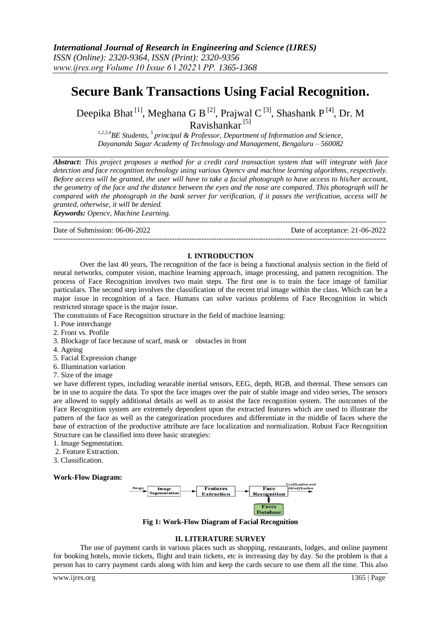## **Secure Bank Transactions Using Facial Recognition.**

Deepika Bhat<sup>[1]</sup>, Meghana G B<sup>[2]</sup>, Prajwal C<sup>[3]</sup>, Shashank P<sup>[4]</sup>, Dr. M Ravishankar [5]

*1,2,3,4BE Students, <sup>5</sup>principal & Professor, Department of Information and Science, Dayananda Sagar Academy of Technology and Management, Bengaluru – 560082*

*Abstract***:** *This project proposes a method for a credit card transaction system that will integrate with face detection and face recognition technology using various Opencv and machine learning algorithms, respectively. Before access will be granted, the user will have to take a facial photograph to have access to his/her account, the geometry of the face and the distance between the eyes and the nose are compared. This photograph will be compared with the photograph in the bank server for verification, if it passes the verification, access will be granted, otherwise, it will be denied.*

*Keywords: Opencv, Machine Learning.*

--------------------------------------------------------------------------------------------------------------------------------------- Date of Submission: 06-06-2022 Date of acceptance: 21-06-2022

# ---------------------------------------------------------------------------------------------------------------------------------------

## **I. INTRODUCTION**

Over the last 40 years, The recognition of the face is being a functional analysis section in the field of neural networks, computer vision, machine learning approach, image processing, and pattern recognition. The process of Face Recognition involves two main steps. The first one is to train the face image of familiar particulars. The second step involves the classification of the recent trial image within the class. Which can be a major issue in recognition of a face. Humans can solve various problems of Face Recognition in which restricted storage space is the major issue.

The constraints of Face Recognition structure in the field of machine learning:

- 1. Pose interchange
- 2. Front vs. Profile
- 3. Blockage of face because of scarf, mask or obstacles in front
- 4. Ageing
- 5. Facial Expression change
- 6. Illumination variation
- 7. Size of the image

we have different types, including wearable inertial sensors, EEG, depth, RGB, and thermal. These sensors can be in use to acquire the data. To spot the face images over the pair of stable image and video series, The sensors are allowed to supply additional details as well as to assist the face recognition system. The outcomes of the Face Recognition system are extremely dependent upon the extracted features which are used to illustrate the pattern of the face as well as the categorization procedures and differentiate in the middle of faces where the base of extraction of the productive attribute are face localization and normalization. Robust Face Recognition Structure can be classified into three basic strategies:

- 1. Image Segmentation.
- 2. Feature Extraction.
- 3. Classification.

## **Work-Flow Diagram:**



**Fig 1: Work-Flow Diagram of Facial Recognition**

## **II. LITERATURE SURVEY**

The use of payment cards in various places such as shopping, restaurants, lodges, and online payment for booking hotels, movie tickets, flight and train tickets, etc is increasing day by day. So the problem is that a person has to carry payment cards along with him and keep the cards secure to use them all the time. This also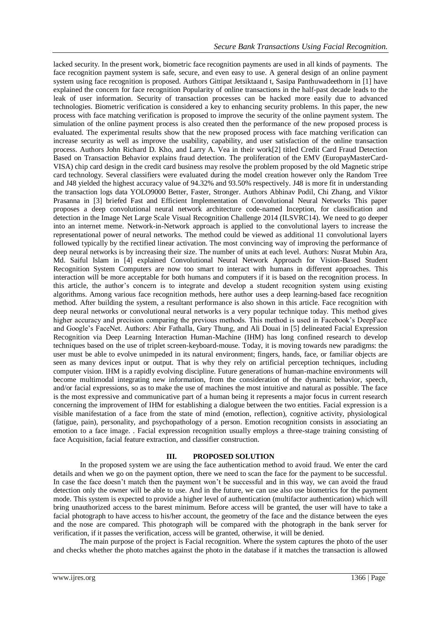lacked security. In the present work, biometric face recognition payments are used in all kinds of payments. The face recognition payment system is safe, secure, and even easy to use. A general design of an online payment system using face recognition is proposed. Authors Gittipat Jetsiktaand t, Sasipa Panthuwadeethorn in [1] have explained the concern for face recognition Popularity of online transactions in the half-past decade leads to the leak of user information. Security of transaction processes can be hacked more easily due to advanced technologies. Biometric verification is considered a key to enhancing security problems. In this paper, the new process with face matching verification is proposed to improve the security of the online payment system. The simulation of the online payment process is also created then the performance of the new proposed process is evaluated. The experimental results show that the new proposed process with face matching verification can increase security as well as improve the usability, capability, and user satisfaction of the online transaction process. Authors John Richard D. Kho, and Larry A. Vea in their work[2] titled Credit Card Fraud Detection Based on Transaction Behavior explains fraud detection. The proliferation of the EMV (EuropayMasterCard-VISA) chip card design in the credit card business may resolve the problem proposed by the old Magnetic stripe card technology. Several classifiers were evaluated during the model creation however only the Random Tree and J48 yielded the highest accuracy value of 94.32% and 93.50% respectively. J48 is more fit in understanding the transaction logs data YOLO9000 Better, Faster, Stronger. Authors Abhinav Podil, Chi Zhang, and Viktor Prasanna in [3] briefed Fast and Efficient Implementation of Convolutional Neural Networks This paper proposes a deep convolutional neural network architecture code-named Inception, for classification and detection in the Image Net Large Scale Visual Recognition Challenge 2014 (ILSVRC14). We need to go deeper into an internet meme. Network-in-Network approach is applied to the convolutional layers to increase the representational power of neural networks. The method could be viewed as additional 11 convolutional layers followed typically by the rectified linear activation. The most convincing way of improving the performance of deep neural networks is by increasing their size. The number of units at each level. Authors: Nusrat Mubin Ara, Md. Saiful Islam in [4] explained Convolutional Neural Network Approach for Vision-Based Student Recognition System Computers are now too smart to interact with humans in different approaches. This interaction will be more acceptable for both humans and computers if it is based on the recognition process. In this article, the author's concern is to integrate and develop a student recognition system using existing algorithms. Among various face recognition methods, here author uses a deep learning-based face recognition method. After building the system, a resultant performance is also shown in this article. Face recognition with deep neural networks or convolutional neural networks is a very popular technique today. This method gives higher accuracy and precision comparing the previous methods. This method is used in Facebook's DeepFace and Google's FaceNet. Authors: Abir Fathalla, Gary Thung, and Ali Douai in [5] delineated Facial Expression Recognition via Deep Learning Interaction Human-Machine (IHM) has long confined research to develop techniques based on the use of triplet screen-keyboard-mouse. Today, it is moving towards new paradigms: the user must be able to evolve unimpeded in its natural environment; fingers, hands, face, or familiar objects are seen as many devices input or output. That is why they rely on artificial perception techniques, including computer vision. IHM is a rapidly evolving discipline. Future generations of human-machine environments will become multimodal integrating new information, from the consideration of the dynamic behavior, speech, and/or facial expressions, so as to make the use of machines the most intuitive and natural as possible. The face is the most expressive and communicative part of a human being it represents a major focus in current research concerning the improvement of IHM for establishing a dialogue between the two entities. Facial expression is a visible manifestation of a face from the state of mind (emotion, reflection), cognitive activity, physiological (fatigue, pain), personality, and psychopathology of a person. Emotion recognition consists in associating an emotion to a face image. . Facial expression recognition usually employs a three-stage training consisting of face Acquisition, facial feature extraction, and classifier construction.

## **III. PROPOSED SOLUTION**

In the proposed system we are using the face authentication method to avoid fraud. We enter the card details and when we go on the payment option, there we need to scan the face for the payment to be successful. In case the face doesn't match then the payment won't be successful and in this way, we can avoid the fraud detection only the owner will be able to use. And in the future, we can use also use biometrics for the payment mode. This system is expected to provide a higher level of authentication (multifactor authentication) which will bring unauthorized access to the barest minimum. Before access will be granted, the user will have to take a facial photograph to have access to his/her account, the geometry of the face and the distance between the eyes and the nose are compared. This photograph will be compared with the photograph in the bank server for verification, if it passes the verification, access will be granted, otherwise, it will be denied.

The main purpose of the project is Facial recognition. Where the system captures the photo of the user and checks whether the photo matches against the photo in the database if it matches the transaction is allowed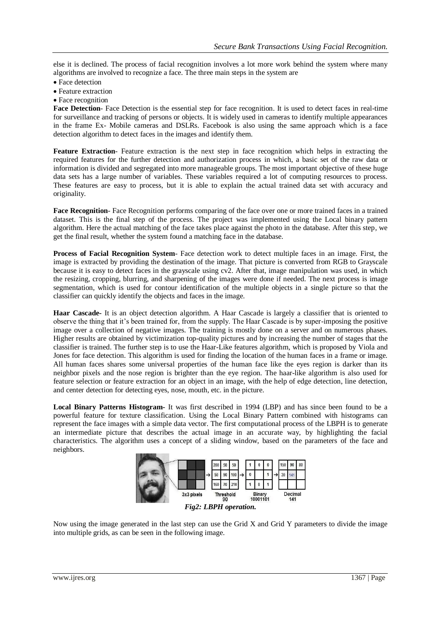else it is declined. The process of facial recognition involves a lot more work behind the system where many algorithms are involved to recognize a face. The three main steps in the system are

- Face detection
- Feature extraction
- Face recognition

**Face Detection**- Face Detection is the essential step for face recognition. It is used to detect faces in real-time for surveillance and tracking of persons or objects. It is widely used in cameras to identify multiple appearances in the frame Ex- Mobile cameras and DSLRs. Facebook is also using the same approach which is a face detection algorithm to detect faces in the images and identify them.

**Feature Extraction**- Feature extraction is the next step in face recognition which helps in extracting the required features for the further detection and authorization process in which, a basic set of the raw data or information is divided and segregated into more manageable groups. The most important objective of these huge data sets has a large number of variables. These variables required a lot of computing resources to process. These features are easy to process, but it is able to explain the actual trained data set with accuracy and originality.

**Face Recognition**- Face Recognition performs comparing of the face over one or more trained faces in a trained dataset. This is the final step of the process. The project was implemented using the Local binary pattern algorithm. Here the actual matching of the face takes place against the photo in the database. After this step, we get the final result, whether the system found a matching face in the database.

**Process of Facial Recognition System**- Face detection work to detect multiple faces in an image. First, the image is extracted by providing the destination of the image. That picture is converted from RGB to Grayscale because it is easy to detect faces in the grayscale using cv2. After that, image manipulation was used, in which the resizing, cropping, blurring, and sharpening of the images were done if needed. The next process is image segmentation, which is used for contour identification of the multiple objects in a single picture so that the classifier can quickly identify the objects and faces in the image.

**Haar Cascade-** It is an object detection algorithm. A Haar Cascade is largely a classifier that is oriented to observe the thing that it's been trained for, from the supply. The Haar Cascade is by super-imposing the positive image over a collection of negative images. The training is mostly done on a server and on numerous phases. Higher results are obtained by victimization top-quality pictures and by increasing the number of stages that the classifier is trained. The further step is to use the Haar-Like features algorithm, which is proposed by Viola and Jones for face detection. This algorithm is used for finding the location of the human faces in a frame or image. All human faces shares some universal properties of the human face like the eyes region is darker than its neighbor pixels and the nose region is brighter than the eye region. The haar-like algorithm is also used for feature selection or feature extraction for an object in an image, with the help of edge detection, line detection, and center detection for detecting eyes, nose, mouth, etc. in the picture.

**Local Binary Patterns Histogram-** It was first described in 1994 (LBP) and has since been found to be a powerful feature for texture classification. Using the Local Binary Pattern combined with histograms can represent the face images with a simple data vector. The first computational process of the LBPH is to generate an intermediate picture that describes the actual image in an accurate way, by highlighting the facial characteristics. The algorithm uses a concept of a sliding window, based on the parameters of the face and neighbors.



Now using the image generated in the last step can use the Grid X and Grid Y parameters to divide the image into multiple grids, as can be seen in the following image.